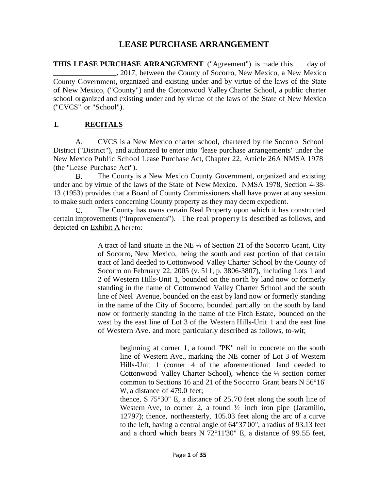# **LEASE PURCHASE ARRANGEMENT**

**THIS LEASE PURCHASE ARRANGEMENT** ("Agreement") is made this\_\_ day of \_\_\_\_\_\_\_\_\_\_\_\_\_\_\_\_\_, 2017, between the County of Socorro, New Mexico, a New Mexico County Government, organized and existing under and by virtue of the laws of the State of New Mexico, ("County") and the Cottonwood Valley Charter School, a public charter school organized and existing under and by virtue of the laws of the State of New Mexico ("CVCS" or "School").

#### **I. RECITALS**

A. CVCS is a New Mexico charter school, chartered by the Socorro School District ("District"), and authorized to enter into "lease purchase arrangements" under the New Mexico Public School Lease Purchase Act, Chapter 22, Article 26A NMSA 1978 (the "Lease Purchase Act").

B. The County is a New Mexico County Government, organized and existing under and by virtue of the laws of the State of New Mexico. NMSA 1978, Section 4-38- 13 (1953) provides that a Board of County Commissioners shall have power at any session to make such orders concerning County property as they may deem expedient.

C. The County has owns certain Real Property upon which it has constructed certain improvements ("Improvements"). The real property is described as follows, and depicted on Exhibit A hereto:

> A tract of land situate in the NE ¼ of Section 21 of the Socorro Grant, City of Socorro, New Mexico, being the south and east portion of that certain tract of land deeded to Cottonwood Valley Charter School by the County of Socorro on February 22, 2005 (v. 511, p. 3806-3807), including Lots 1 and 2 of Western Hills-Unit 1, bounded on the north by land now or formerly standing in the name of Cottonwood Valley Charter School and the south line of Neel Avenue, bounded on the east by land now or formerly standing in the name of the City of Socorro, bounded partially on the south by land now or formerly standing in the name of the Fitch Estate, bounded on the west by the east line of Lot 3 of the Western Hills-Unit 1 and the east line of Western Ave. and more particularly described as follows, to-wit;

beginning at corner 1, a found "PK" nail in concrete on the south line of Western Ave., marking the NE corner of Lot 3 of Western Hills-Unit 1 (corner 4 of the aforementioned land deeded to Cottonwood Valley Charter School), whence the ¼ section corner common to Sections 16 and 21 of the Socorro Grant bears N 56°16' W, a distance of 479.0 feet;

thence, S 75°30" E, a distance of 25.70 feet along the south line of Western Ave, to corner 2, a found  $\frac{1}{2}$  inch iron pipe (Jaramillo, 12797); thence, northeasterly, 105.03 feet along the arc of a curve to the left, having a central angle of 64°37'00", a radius of 93.13 feet and a chord which bears N 72°11'30" E, a distance of 99.55 feet,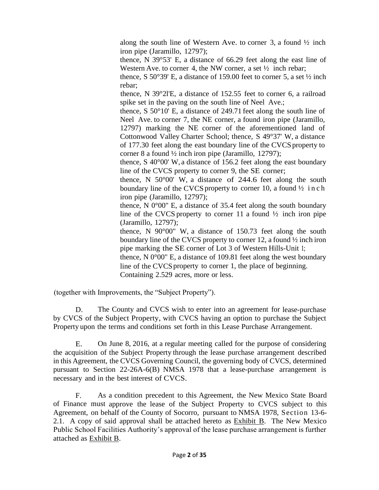along the south line of Western Ave. to corner 3, a found ½ inch iron pipe (Jaramillo, 12797);

thence, N 39°53' E, a distance of 66.29 feet along the east line of Western Ave. to corner 4, the NW corner, a set  $\frac{1}{2}$  inch rebar;

thence, S 50°39' E, a distance of 159.00 feet to corner 5, a set  $\frac{1}{2}$  inch rebar;

thence, N 39°2l'E, a distance of 152.55 feet to corner 6, a railroad spike set in the paving on the south line of Neel Ave.;

thence, S 50°10' E, a distance of 249.71 feet along the south line of Neel Ave. to corner 7, the NE corner, a found iron pipe (Jaramillo, 12797) marking the NE corner of the aforementioned land of Cottonwood Valley Charter School; thence, S 49°37' W, a distance of 177.30 feet along the east boundary line of the CVCS property to corner 8 a found ½ inch iron pipe (Jaramillo, 12797);

thence, S 40°00' W, a distance of 156.2 feet along the east boundary line of the CVCS property to corner 9, the SE corner;

thence, N 50°00' W, a distance of 244.6 feet along the south boundary line of the CVCS property to corner 10, a found  $\frac{1}{2}$  in ch iron pipe (Jaramillo, 12797);

thence,  $N$  0 $^{\circ}$ 00" E, a distance of 35.4 feet along the south boundary line of the CVCS property to corner 11 a found  $\frac{1}{2}$  inch iron pipe (Jaramillo, 12797);

thence, N 90°00" W, a distance of 150.73 feet along the south boundary line of the CVCS property to corner 12, a found ½ inch iron pipe marking the SE corner of Lot 3 of Western Hills-Unit 1;

thence, N  $0^{\circ}00^{\circ}$  E, a distance of 109.81 feet along the west boundary line of the CVCS property to corner 1, the place of beginning. Containing 2.529 acres, more or less.

(together with Improvements, the "Subject Property").

D. The County and CVCS wish to enter into an agreement for lease-purchase by CVCS of the Subject Property, with CVCS having an option to purchase the Subject Property upon the terms and conditions set forth in this Lease Purchase Arrangement.

E. On June 8, 2016, at a regular meeting called for the purpose of considering the acquisition of the Subject Property through the lease purchase arrangement described in this Agreement, the CVCS Governing Council, the governing body of CVCS, determined pursuant to Section 22-26A-6(B) NMSA 1978 that a lease-purchase arrangement is necessary and in the best interest of CVCS.

F. As a condition precedent to this Agreement, the New Mexico State Board of Finance must approve the lease of the Subject Property to CVCS subject to this Agreement, on behalf of the County of Socorro, pursuant to NMSA 1978, Section 13-6- 2.1. A copy of said approval shall be attached hereto as Exhibit B. The New Mexico Public School Facilities Authority's approval of the lease purchase arrangement is further attached as Exhibit B.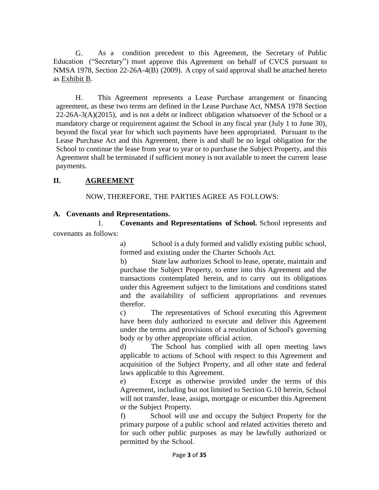G. As a condition precedent to this Agreement, the Secretary of Public Education ("Secretary") must approve this Agreement on behalf of CVCS pursuant to NMSA 1978, Section 22-26A-4(B) (2009). A copy of said approval shall be attached hereto as Exhibit B.

H. This Agreement represents a Lease Purchase arrangement or financing agreement, as these two terms are defined in the Lease Purchase Act, NMSA 1978 Section  $22-26A-3(A)(2015)$ , and is not a debt or indirect obligation whatsoever of the School or a mandatory charge or requirement against the School in any fiscal year (July 1 to June 30), beyond the fiscal year for which such payments have been appropriated. Pursuant to the Lease Purchase Act and this Agreement, there is and shall be no legal obligation for the School to continue the lease from year to year or to purchase the Subject Property, and this Agreement shall be terminated if sufficient money is not available to meet the current lease payments.

## **II. AGREEMENT**

NOW, THEREFORE, THE PARTIES AGREE AS FOLLOWS:

## **A. Covenants and Representations.**

1. **Covenants and Representations of School.** School represents and covenants as follows:

> a) School is a duly formed and validly existing public school, formed and existing under the Charter Schools Act.

> b) State law authorizes School to lease, operate, maintain and purchase the Subject Property, to enter into this Agreement and the transactions contemplated herein, and to carry out its obligations under this Agreement subject to the limitations and conditions stated and the availability of sufficient appropriations and revenues therefor.

> c) The representatives of School executing this Agreement have been duly authorized to execute and deliver this Agreement under the terms and provisions of a resolution of School's governing body or by other appropriate official action.

> d) The School has complied with all open meeting laws applicable to actions of School with respect to this Agreement and acquisition of the Subject Property, and all other state and federal laws applicable to this Agreement.

> e) Except as otherwise provided under the terms of this Agreement, including but not limited to Section G.10 herein, School will not transfer, lease, assign, mortgage or encumber this Agreement or the Subject Property.

> f) School will use and occupy the Subject Property for the primary purpose of a public school and related activities thereto and for such other public purposes as may be lawfully authorized or permitted by the School.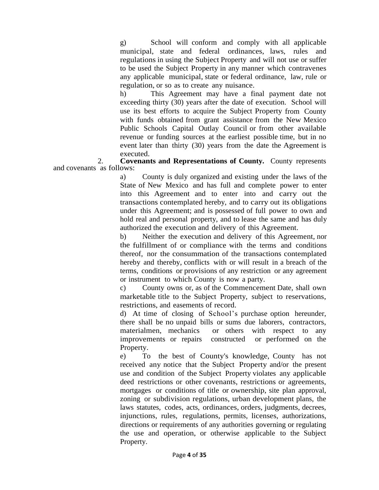g) School will conform and comply with all applicable municipal, state and federal ordinances, laws, rules and regulations in using the Subject Property and will not use or suffer to be used the Subject Property in any manner which contravenes any applicable municipal, state or federal ordinance, law, rule or regulation, or so as to create any nuisance.

h) This Agreement may have a final payment date not exceeding thirty (30) years after the date of execution. School will use its best efforts to acquire the Subject Property from County with funds obtained from grant assistance from the New Mexico Public Schools Capital Outlay Council or from other available revenue or funding sources at the earliest possible time, but in no event later than thirty (30) years from the date the Agreement is executed.

2. **Covenants and Representations of County.** County represents and covenants as follows:

a) County is duly organized and existing under the laws of the State of New Mexico and has full and complete power to enter into this Agreement and to enter into and carry out the transactions contemplated hereby, and to carry out its obligations under this Agreement; and is possessed of full power to own and hold real and personal property, and to lease the same and has duly authorized the execution and delivery of this Agreement.

b) Neither the execution and delivery of this Agreement, nor the fulfillment of or compliance with the terms and conditions thereof, nor the consummation of the transactions contemplated hereby and thereby, conflicts with or will result in a breach of the terms, conditions or provisions of any restriction or any agreement or instrument to which County is now a party.

c) County owns or, as of the Commencement Date, shall own marketable title to the Subject Property, subject to reservations, restrictions, and easements of record.

d) At time of closing of School's purchase option hereunder, there shall be no unpaid bills or sums due laborers, contractors, materialmen, mechanics or others with respect to any improvements or repairs constructed or performed on the Property.

e) To the best of County's knowledge, County has not received any notice that the Subject Property and/or the present use and condition of the Subject Property violates any applicable deed restrictions or other covenants, restrictions or agreements, mortgages or conditions of title or ownership, site plan approval, zoning or subdivision regulations, urban development plans, the laws statutes, codes, acts, ordinances, orders, judgments, decrees, injunctions, rules, regulations, permits, licenses, authorizations, directions or requirements of any authorities governing or regulating the use and operation, or otherwise applicable to the Subject Property.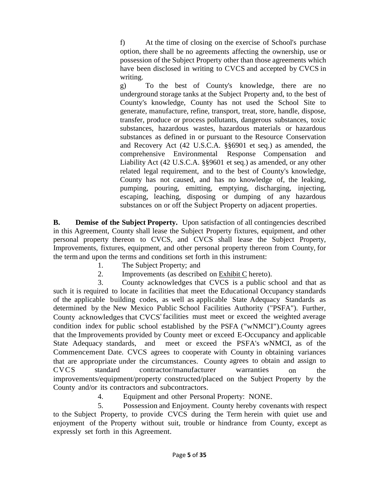f) At the time of closing on the exercise of School's purchase option, there shall be no agreements affecting the ownership, use or possession of the Subject Property other than those agreements which have been disclosed in writing to CVCS and accepted by CVCS in writing.

g) To the best of County's knowledge, there are no underground storage tanks at the Subject Property and, to the best of County's knowledge, County has not used the School Site to generate, manufacture, refine, transport, treat, store, handle, dispose, transfer, produce or process pollutants, dangerous substances, toxic substances, hazardous wastes, hazardous materials or hazardous substances as defined in or pursuant to the Resource Conservation and Recovery Act (42 U.S.C.A. §§6901 et seq.) as amended, the comprehensive Environmental Response Compensation and Liability Act (42 U.S.C.A. §§9601 et seq.) as amended, or any other related legal requirement, and to the best of County's knowledge, County has not caused, and has no knowledge of, the leaking, pumping, pouring, emitting, emptying, discharging, injecting, escaping, leaching, disposing or dumping of any hazardous substances on or off the Subject Property on adjacent properties.

**B. Demise of the Subject Property.** Upon satisfaction of all contingencies described in this Agreement, County shall lease the Subject Property fixtures, equipment, and other personal property thereon to CVCS, and CVCS shall lease the Subject Property, Improvements, fixtures, equipment, and other personal property thereon from County, for the termand upon the terms and conditions set forth in this instrument:

- 1. The Subject Property; and
- 2. Improvements (as described on Exhibit C hereto).

3. County acknowledges that CVCS is a public school and that as such it is required to locate in facilities that meet the Educational Occupancy standards of the applicable building codes, as well as applicable State Adequacy Standards as determined by the New Mexico Public School Facilities Authority ("PSFA"). Further, County acknowledges that CVCS' facilities must meet or exceed the weighted average condition index for public school established by the PSFA ("wNMCI").County agrees that the Improvements provided by County meet or exceed E-Occupancy and applicable State Adequacy standards, and meet or exceed the PSFA's wNMCI, as of the Commencement Date. CVCS agrees to cooperate with County in obtaining variances that are appropriate under the circumstances. County agrees to obtain and assign to CVCS standard contractor/manufacturer warranties on the improvements/equipment/property constructed/placed on the Subject Property by the County and/or its contractors and subcontractors.

4. Equipment and other Personal Property: NONE.

5. Possession and Enjoyment. County hereby covenants with respect to the Subject Property, to provide CVCS during the Term herein with quiet use and enjoyment of the Property without suit, trouble or hindrance from County, except as expressly set forth in this Agreement.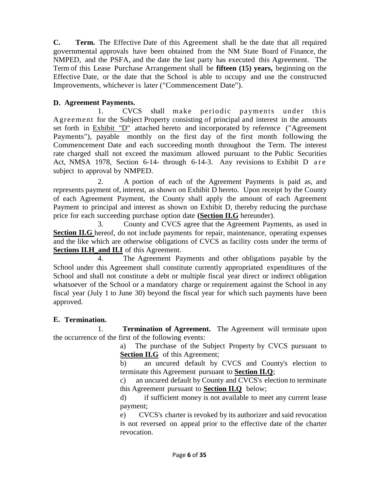**C. Term.** The Effective Date of this Agreement shall be the date that all required governmental approvals have been obtained from the NM State Board of Finance, the NMPED, and the PSFA, and the date the last party has executed this Agreement. The Term of this Lease Purchase Arrangement shall be **fifteen (15) years,** beginning on the Effective Date, or the date that the School is able to occupy and use the constructed Improvements, whichever is later ("Commencement Date").

#### **D. Agreement Payments.**

1. CVCS shall make periodic payments under this Agreement for the Subject Property consisting of principal and interest in the amounts set forth in Exhibit "D" attached hereto and incorporated by reference ("Agreement Payments"), payable monthly on the first day of the first month following the Commencement Date and each succeeding month throughout the Term. The interest rate charged shall not exceed the maximum allowed pursuant to the Public Securities Act, NMSA 1978, Section 6-14- through 6-14-3. Any revisions to Exhibit D are subject to approval by NMPED.

2. A portion of each of the Agreement Payments is paid as, and represents payment of, interest, as shown on Exhibit D hereto. Upon receipt by the County of each Agreement Payment, the County shall apply the amount of each Agreement Payment to principal and interest as shown on Exhibit D, thereby reducing the purchase price for each succeeding purchase option date **(Section II.G** hereunder).

3. County and CVCS agree that the Agreement Payments, as used in **Section II.G** hereof, do not include payments for repair, maintenance, operating expenses and the like which are otherwise obligations of CVCS as facility costs under the terms of **Sections II.H\_and II.I** of this Agreement.

4. The Agreement Payments and other obligations payable by the School under this Agreement shall constitute currently appropriated expenditures of the School and shall not constitute a debt or multiple fiscal year direct or indirect obligation whatsoever of the School or a mandatory charge or requirement against the School in any fiscal year (July 1 to June 30) beyond the fiscal year for which such payments have been approved.

# **E. Termination.**

1. **Termination of Agreement.** The Agreement will terminate upon the occurrence of the first of the following events:

> a) The purchase of the Subject Property by CVCS pursuant to **Section II.G** of this Agreement;

> b) an uncured default by CVCS and County's election to terminate this Agreement pursuant to **Section II.Q**;

> c) an uncured default by County and CVCS's election to terminate this Agreement pursuant to **Section II.Q** below;

> d) if sufficient money is not available to meet any current lease payment;

> e) CVCS's charter is revoked by its authorizer and said revocation is not reversed on appeal prior to the effective date of the charter revocation.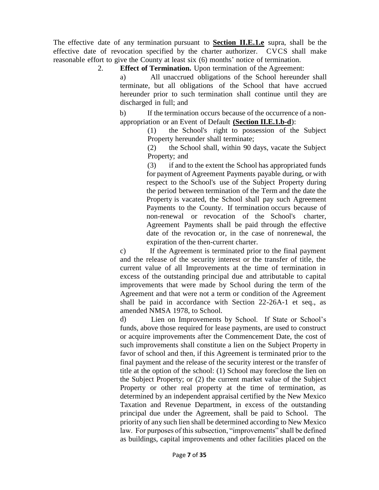The effective date of any termination pursuant to **Section II.E.1.e** supra, shall be the effective date of revocation specified by the charter authorizer. CVCS shall make reasonable effort to give the County at least six (6) months' notice of termination.

2. **Effect of Termination.** Upon termination of the Agreement:

a) All unaccrued obligations of the School hereunder shall terminate, but all obligations of the School that have accrued hereunder prior to such termination shall continue until they are discharged in full; and

b) If the termination occurs because of the occurrence of a nonappropriation or an Event of Default **(Section II.E.1.b-d**):

(1) the School's right to possession of the Subject Property hereunder shall terminate;

(2) the School shall, within 90 days, vacate the Subject Property; and

(3) if and to the extent the School has appropriated funds for payment of Agreement Payments payable during, or with respect to the School's use of the Subject Property during the period between termination of the Term and the date the Property is vacated, the School shall pay such Agreement Payments to the County. If termination occurs because of non-renewal or revocation of the School's charter, Agreement Payments shall be paid through the effective date of the revocation or, in the case of nonrenewal, the expiration of the then-current charter.

c) If the Agreement is terminated prior to the final payment and the release of the security interest or the transfer of title, the current value of all Improvements at the time of termination in excess of the outstanding principal due and attributable to capital improvements that were made by School during the term of the Agreement and that were not a term or condition of the Agreement shall be paid in accordance with Section 22-26A-1 et seq., as amended NMSA 1978, to School.

d) Lien on Improvements by School. If State or School's funds, above those required for lease payments, are used to construct or acquire improvements after the Commencement Date, the cost of such improvements shall constitute a lien on the Subject Property in favor of school and then, if this Agreement is terminated prior to the final payment and the release of the security interest or the transfer of title at the option of the school: (1) School may foreclose the lien on the Subject Property; or (2) the current market value of the Subject Property or other real property at the time of termination, as determined by an independent appraisal certified by the New Mexico Taxation and Revenue Department, in excess of the outstanding principal due under the Agreement, shall be paid to School. The priority of any such lien shall be determined according to New Mexico law. For purposes of this subsection, "improvements" shall be defined as buildings, capital improvements and other facilities placed on the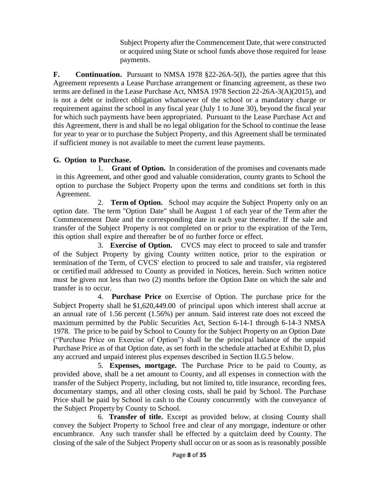Subject Property after the Commencement Date, that were constructed or acquired using State or school funds above those required for lease payments.

**F. Continuation.** Pursuant to NMSA 1978 §22-26A-5(I), the parties agree that this Agreement represents a Lease Purchase arrangement or financing agreement, as these two terms are defined in the Lease Purchase Act, NMSA 1978 Section 22-26A-3(A)(2015), and is not a debt or indirect obligation whatsoever of the school or a mandatory charge or requirement against the school in any fiscal year (July 1 to June 30), beyond the fiscal year for which such payments have been appropriated. Pursuant to the Lease Purchase Act and this Agreement, there is and shall be no legal obligation for the School to continue the lease for year to year or to purchase the Subject Property, and this Agreement shall be terminated if sufficient money is not available to meet the current lease payments.

# **G. Option to Purchase.**

1. **Grant of Option.** In consideration of the promises and covenants made in this Agreement, and other good and valuable consideration, county grants to School the option to purchase the Subject Property upon the terms and conditions set forth in this Agreement.

2. **Term of Option.** School may acquire the Subject Property only on an option date. The term "Option Date" shall be August 1 of each year of the Term after the Commencement Date and the corresponding date in each year thereafter. If the sale and transfer of the Subject Property is not completed on or prior to the expiration of the Term, this option shall expire and thereafter be of no further force or effect.

3. **Exercise of Option.** CVCS may elect to proceed to sale and transfer of the Subject Property by giving County written notice, prior to the expiration or termination of the Term, of CVCS' election to proceed to sale and transfer, via registered or certified mail addressed to County as provided in Notices, herein. Such written notice must be given not less than two (2) months before the Option Date on which the sale and transfer is to occur.

4. **Purchase Price** on Exercise of Option. The purchase price for the Subject Property shall be \$1,620,449.00 of principal upon which interest shall accrue at an annual rate of 1.56 percent (1.56%) per annum. Said interest rate does not exceed the maximum permitted by the Public Securities Act, Section 6-14-1 through 6-14-3 NMSA 1978. The price to be paid by School to County for the Subject Property on an Option Date ("Purchase Price on Exercise of Option") shall be the principal balance of the unpaid Purchase Price as of that Option date, as set forth in the schedule attached at Exhibit D, plus any accrued and unpaid interest plus expenses described in Section II.G.5 below.

5. **Expenses, mortgage.** The Purchase Price to be paid to County, as provided above, shall be a net amount to County, and all expenses in connection with the transfer of the Subject Property, including, but not limited to, title insurance, recording fees, documentary stamps, and all other closing costs, shall be paid by School. The Purchase Price shall be paid by School in cash to the County concurrently with the conveyance of the Subject Property by County to School.

6. **Transfer of title.** Except as provided below, at closing County shall convey the Subject Property to School free and clear of any mortgage, indenture or other encumbrance. Any such transfer shall be effected by a quitclaim deed by County. The closing of the sale of the Subject Property shall occur on or as soon as is reasonably possible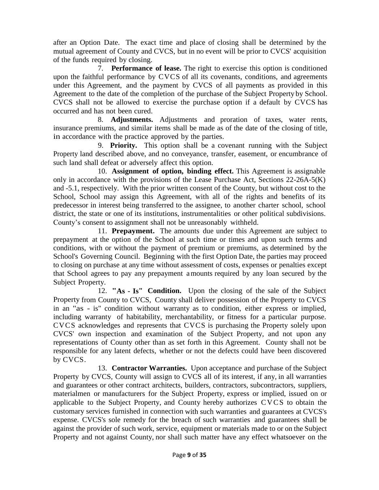after an Option Date. The exact time and place of closing shall be determined by the mutual agreement of County and CVCS, but in no event will be prior to CVCS' acquisition of the funds required by closing.

7. **Performance of lease.** The right to exercise this option is conditioned upon the faithful performance by CVCS of all its covenants, conditions, and agreements under this Agreement, and the payment by CVCS of all payments as provided in this Agreement to the date of the completion of the purchase of the Subject Property by School. CVCS shall not be allowed to exercise the purchase option if a default by CVCS has occurred and has not been cured.

8. **Adjustments.** Adjustments and proration of taxes, water rents, insurance premiums, and similar items shall be made as of the date of the closing of title, in accordance with the practice approved by the parties.

9. **Priority.** This option shall be a covenant running with the Subject Property land described above, and no conveyance, transfer, easement, or encumbrance of such land shall defeat or adversely affect this option.

10. **Assignment of option, binding effect.** This Agreement is assignable only in accordance with the provisions of the Lease Purchase Act, Sections 22-26A-5(K) and -5.1, respectively. With the prior written consent of the County, but without cost to the School, School may assign this Agreement, with all of the rights and benefits of its predecessor in interest being transferred to the assignee, to another charter school, school district, the state or one of its institutions, instrumentalities or other political subdivisions. County's consent to assignment shall not be unreasonably withheld.

11. **Prepayment.** The amounts due under this Agreement are subject to prepayment at the option of the School at such time or times and upon such terms and conditions, with or without the payment of premium or premiums, as determined by the School's Governing Council. Beginning with the first Option Date, the parties may proceed to closing on purchase at any time without assessment of costs, expenses or penalties except that School agrees to pay any prepayment amounts required by any loan secured by the Subject Property.

12. **"As - Is" Condition.** Upon the closing of the sale of the Subject Property from County to CVCS, County shall deliver possession of the Property to CVCS in an "as - is" condition without warranty as to condition, either express or implied, including warranty of habitability, merchantability, or fitness for a particular purpose. CVCS acknowledges and represents that CVCS is purchasing the Property solely upon CVCS' own inspection and examination of the Subject Property, and not upon any representations of County other than as set forth in this Agreement. County shall not be responsible for any latent defects, whether or not the defects could have been discovered by CVCS.

13. **Contractor Warranties.** Upon acceptance and purchase of the Subject Property by CVCS, County will assign to CVCS all of its interest, if any, in all warranties and guarantees or other contract architects, builders, contractors, subcontractors, suppliers, materialmen or manufacturers for the Subject Property, express or implied, issued on or applicable to the Subject Property, and County hereby authorizes C V C S to obtain the customary services furnished in connection with such warranties and guarantees at CVCS's expense. CVCS's sole remedy for the breach of such warranties and guarantees shall be against the provider of such work, service, equipment or materials made to or on the Subject Property and not against County, nor shall such matter have any effect whatsoever on the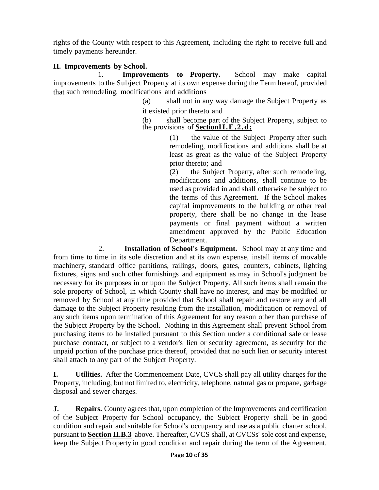rights of the County with respect to this Agreement, including the right to receive full and timely payments hereunder.

## **H. Improvements by School.**

1. **Improvements to Property.** School may make capital improvements to the Subject Property at its own expense during the Term hereof, provided that such remodeling, modifications and additions

(a) shall not in any way damage the Subject Property as it existed prior thereto and

(b) shall become part of the Subject Property, subject to the provisions of **SectionII.E.2.d;**

> (1) the value of the Subject Property after such remodeling, modifications and additions shall be at least as great as the value of the Subject Property prior thereto; and

> (2) the Subject Property, after such remodeling, modifications and additions, shall continue to be used as provided in and shall otherwise be subject to the terms of this Agreement. If the School makes capital improvements to the building or other real property, there shall be no change in the lease payments or final payment without a written amendment approved by the Public Education Department.

2. **Installation of School's Equipment.** School may at any time and from time to time in its sole discretion and at its own expense, install items of movable machinery, standard office partitions, railings, doors, gates, counters, cabinets, lighting fixtures, signs and such other furnishings and equipment as may in School's judgment be necessary for its purposes in or upon the Subject Property. All such items shall remain the sole property of School, in which County shall have no interest, and may be modified or removed by School at any time provided that School shall repair and restore any and all damage to the Subject Property resulting from the installation, modification or removal of any such items upon termination of this Agreement for any reason other than purchase of the Subject Property by the School. Nothing in this Agreement shall prevent School from purchasing items to be installed pursuant to this Section under a conditional sale or lease purchase contract, or subject to a vendor's lien or security agreement, as security for the unpaid portion of the purchase price thereof, provided that no such lien or security interest shall attach to any part of the Subject Property.

**I. Utilities.** After the Commencement Date, CVCS shall pay all utility charges for the Property, including, but not limited to, electricity, telephone, natural gas or propane, garbage disposal and sewer charges.

**J. Repairs.** County agrees that, upon completion of the Improvements and certification of the Subject Property for School occupancy, the Subject Property shall be in good condition and repair and suitable for School's occupancy and use as a public charter school, pursuant to **Section II.B.3** above. Thereafter, CVCS shall, at CVCSs' sole cost and expense, keep the Subject Property in good condition and repair during the term of the Agreement.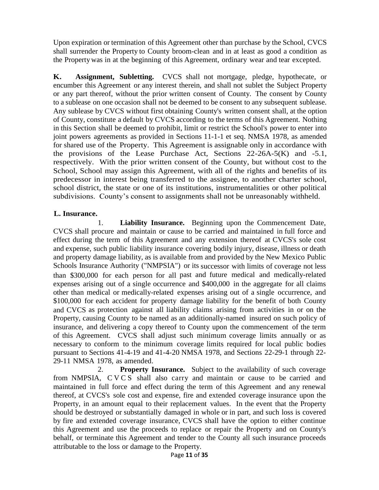Upon expiration or termination of this Agreement other than purchase by the School, CVCS shall surrender the Property to County broom-clean and in at least as good a condition as the Propertywas in at the beginning of this Agreement, ordinary wear and tear excepted.

**K. Assignment, Subletting.** CVCS shall not mortgage, pledge, hypothecate, or encumber this Agreement or any interest therein, and shall not sublet the Subject Property or any part thereof, without the prior written consent of County. The consent by County to a sublease on one occasion shall not be deemed to be consent to any subsequent sublease. Any sublease by CVCS without first obtaining County's written consent shall, at the option of County, constitute a default by CVCS according to the terms of this Agreement. Nothing in this Section shall be deemed to prohibit, limit or restrict the School's power to enter into joint powers agreements as provided in Sections 11-1-1 et seq. NMSA 1978, as amended for shared use of the Property. This Agreement is assignable only in accordance with the provisions of the Lease Purchase Act, Sections  $22-26A-5(K)$  and  $-5.1$ , respectively. With the prior written consent of the County, but without cost to the School, School may assign this Agreement, with all of the rights and benefits of its predecessor in interest being transferred to the assignee, to another charter school, school district, the state or one of its institutions, instrumentalities or other political subdivisions. County's consent to assignments shall not be unreasonably withheld.

#### **L. Insurance.**

1. **Liability Insurance.** Beginning upon the Commencement Date, CVCS shall procure and maintain or cause to be carried and maintained in full force and effect during the term of this Agreement and any extension thereof at CVCS's sole cost and expense, such public liability insurance covering bodily injury, disease, illness or death and property damage liability, as is available from and provided by the New Mexico Public Schools Insurance Authority ("NMPSIA") or its successor with limits of coverage not less than \$300,000 for each person for all past and future medical and medically-related expenses arising out of a single occurrence and \$400,000 in the aggregate for all claims other than medical or medically-related expenses arising out of a single occurrence, and \$100,000 for each accident for property damage liability for the benefit of both County and CVCS as protection against all liability claims arising from activities in or on the Property, causing County to be named as an additionally-named insured on such policy of insurance, and delivering a copy thereof to County upon the commencement of the term of this Agreement. CVCS shall adjust such minimum coverage limits annually or as necessary to conform to the minimum coverage limits required for local public bodies pursuant to Sections 41-4-19 and 41-4-20 NMSA 1978, and Sections 22-29-1 through 22- 29-11 NMSA 1978, as amended.

2. **Property Insurance.** Subject to the availability of such coverage from NMPSIA, C V C S shall also carry and maintain or cause to be carried and maintained in full force and effect during the term of this Agreement and any renewal thereof, at CVCS's sole cost and expense, fire and extended coverage insurance upon the Property, in an amount equal to their replacement values. In the event that the Property should be destroyed or substantially damaged in whole or in part, and such loss is covered by fire and extended coverage insurance, CVCS shall have the option to either continue this Agreement and use the proceeds to replace or repair the Property and on County's behalf, or terminate this Agreement and tender to the County all such insurance proceeds attributable to the loss or damage to the Property.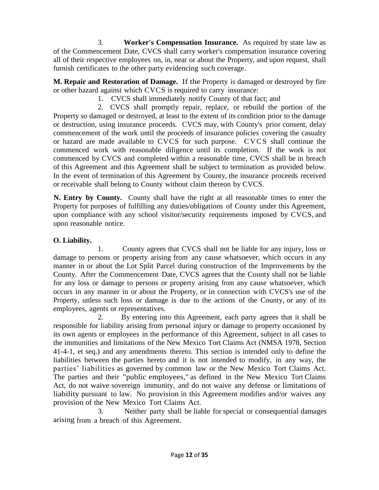3. **Worker's Compensation Insurance.** As required by state law as of the Commencement Date, CVCS shall carry worker's compensation insurance covering all of their respective employees on, in, near or about the Property, and upon request, shall furnish certificates to the other party evidencing such coverage.

**M. Repair and Restoration of Damage.** If the Property is damaged or destroyed by fire or other hazard against which CVCS is required to carry insurance:

1. CVCS shall immediately notify County of that fact; and

2. CVCS shall promptly repair, replace, or rebuild the portion of the Property so damaged or destroyed, at least to the extent of its condition prior to the damage or destruction, using insurance proceeds. CVCS may, with County's prior consent, delay commencement of the work until the proceeds of insurance policies covering the casualty or hazard are made available to CVCS for such purpose. CVCS shall continue the commenced work with reasonable diligence until its completion. If the work is not commenced by CVCS and completed within a reasonable time, CVCS shall be in breach of this Agreement and this Agreement shall be subject to termination as provided below. In the event of termination of this Agreement by County, the insurance proceeds received or receivable shall belong to County without claim thereon by CVCS.

**N. Entry by County.** County shall have the right at all reasonable times to enter the Property for purposes of fulfilling any duties/obligations of County under this Agreement, upon compliance with any school visitor/security requirements imposed by CVCS, and upon reasonable notice.

# **O. Liability.**

1. County agrees that CVCS shall not be liable for any injury, loss or damage to persons or property arising from any cause whatsoever, which occurs in any manner in or about the Lot Split Parcel during construction of the Improvements by the County. After the Commencement Date, CVCS agrees that the County shall not be liable for any loss or damage to persons or property arising from any cause whatsoever, which occurs in any manner in or about the Property, or in connection with CVCS's use of the Property, unless such loss or damage is due to the actions of the County, or any of its employees, agents or representatives.

2. By entering into this Agreement, each party agrees that it shall be responsible for liability arising from personal injury or damage to property occasioned by its own agents or employees in the performance of this Agreement, subject in all cases to the immunities and limitations of the New Mexico Tort Claims Act (NMSA 1978, Section 41-4-1, et seq.) and any amendments thereto. This section is intended only to define the liabilities between the parties hereto and it is not intended to modify, in any way, the parties' liabilities as governed by common law or the New Mexico Tort Claims Act. The parties and their "public employees," as defined in the New Mexico Tort Claims Act, do not waive sovereign immunity, and do not waive any defense or limitations of liability pursuant to law. No provision in this Agreement modifies and/or waives any provision of the New Mexico Tort Claims Act.

3. Neither party shall be liable for special or consequential damages arising from a breach of this Agreement.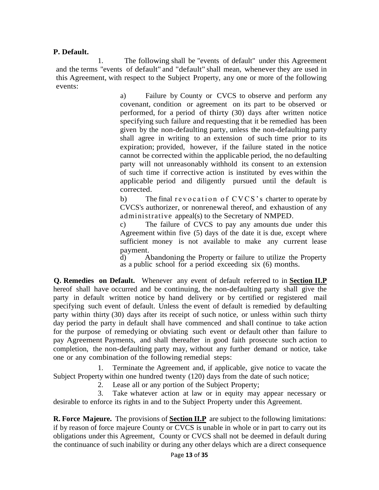#### **P. Default.**

1. The following shall be "events of default" under this Agreement and the terms "events of default" and "default" shall mean, whenever they are used in this Agreement, with respect to the Subject Property, any one or more of the following events:

> a) Failure by County or CVCS to observe and perform any covenant, condition or agreement on its part to be observed or performed, for a period of thirty (30) days after written notice specifying such failure and requesting that it be remedied has been given by the non-defaulting party, unless the non-defaulting party shall agree in writing to an extension of such time prior to its expiration; provided, however, if the failure stated in the notice cannot be corrected within the applicable period, the no defaulting party will not unreasonably withhold its consent to an extension of such time if corrective action is instituted by eves within the applicable period and diligently pursued until the default is corrected.

> b) The final r e v o c a t i on of  $\text{CVCS}$ 's charter to operate by CVCS's authorizer, or nonrenewal thereof, and exhaustion of any administrative appeal(s) to the Secretary of NMPED.

> c) The failure of CVCS to pay any amounts due under this Agreement within five (5) days of the date it is due, except where sufficient money is not available to make any current lease payment.

> d) Abandoning the Property or failure to utilize the Property as a public school for a period exceeding six (6) months.

**Q. Remedies on Default.** Whenever any event of default referred to in **Section II.P**  hereof shall have occurred and be continuing, the non-defaulting party shall give the party in default written notice by hand delivery or by certified or registered mail specifying such event of default. Unless the event of default is remedied by defaulting party within thirty (30) days after its receipt of such notice, or unless within such thirty day period the party in default shall have commenced and shall continue to take action for the purpose of remedying or obviating such event or default other than failure to pay Agreement Payments, and shall thereafter in good faith prosecute such action to completion, the non-defaulting party may, without any further demand or notice, take one or any combination of the following remedial steps:

1. Terminate the Agreement and, if applicable, give notice to vacate the Subject Property within one hundred twenty (120) days from the date of such notice;

2. Lease all or any portion of the Subject Property;

3. Take whatever action at law or in equity may appear necessary or desirable to enforce its rights in and to the Subject Property under this Agreement.

**R. Force Majeure.** The provisions of **Section II.P** are subject to the following limitations: if by reason of force majeure County or CVCS is unable in whole or in part to carry out its obligations under this Agreement, County or CVCS shall not be deemed in default during the continuance of such inability or during any other delays which are a direct consequence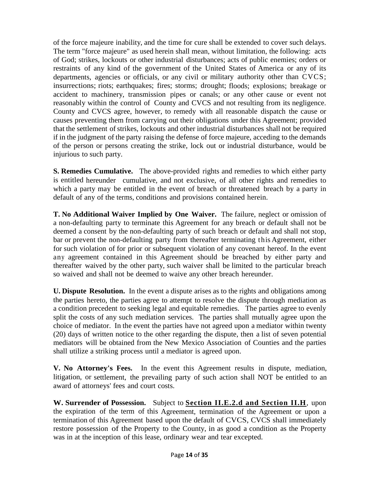of the force majeure inability, and the time for cure shall be extended to cover such delays. The term "force majeure" as used herein shall mean, without limitation, the following: acts of God; strikes, lockouts or other industrial disturbances; acts of public enemies; orders or restraints of any kind of the government of the United States of America or any of its departments, agencies or officials, or any civil or military authority other than CVCS; insurrections; riots; earthquakes; fires; storms; drought; floods; explosions; breakage or accident to machinery, transmission pipes or canals; or any other cause or event not reasonably within the control of County and CVCS and not resulting from its negligence. County and CVCS agree, however, to remedy with all reasonable dispatch the cause or causes preventing them from carrying out their obligations under this Agreement; provided that the settlement of strikes, lockouts and other industrial disturbances shall not be required if in the judgment of the party raising the defense of force majeure, acceding to the demands of the person or persons creating the strike, lock out or industrial disturbance, would be injurious to such party.

**S. Remedies Cumulative.** The above-provided rights and remedies to which either party is entitled hereunder cumulative, and not exclusive, of all other rights and remedies to which a party may be entitled in the event of breach or threatened breach by a party in default of any of the terms, conditions and provisions contained herein.

**T. No Additional Waiver Implied by One Waiver.** The failure, neglect or omission of a non-defaulting party to terminate this Agreement for any breach or default shall not be deemed a consent by the non-defaulting party of such breach or default and shall not stop, bar or prevent the non-defaulting party from thereafter terminating this Agreement, either for such violation of for prior or subsequent violation of any covenant hereof. In the event any agreement contained in this Agreement should be breached by either party and thereafter waived by the other party, such waiver shall be limited to the particular breach so waived and shall not be deemed to waive any other breach hereunder.

**U. Dispute Resolution.** In the event a dispute arises as to the rights and obligations among the parties hereto, the parties agree to attempt to resolve the dispute through mediation as a condition precedent to seeking legal and equitable remedies. The parties agree to evenly split the costs of any such mediation services. The parties shall mutually agree upon the choice of mediator. In the event the parties have not agreed upon a mediator within twenty (20) days of written notice to the other regarding the dispute, then a list of seven potential mediators will be obtained from the New Mexico Association of Counties and the parties shall utilize a striking process until a mediator is agreed upon.

**V. No Attorney's Fees.** In the event this Agreement results in dispute, mediation, litigation, or settlement, the prevailing party of such action shall NOT be entitled to an award of attorneys' fees and court costs.

**W. Surrender of Possession.** Subject to **Section II.E.2.d and Section II.H**, upon the expiration of the term of this Agreement, termination of the Agreement or upon a termination of this Agreement based upon the default of CVCS, CVCS shall immediately restore possession of the Property to the County, in as good a condition as the Property was in at the inception of this lease, ordinary wear and tear excepted.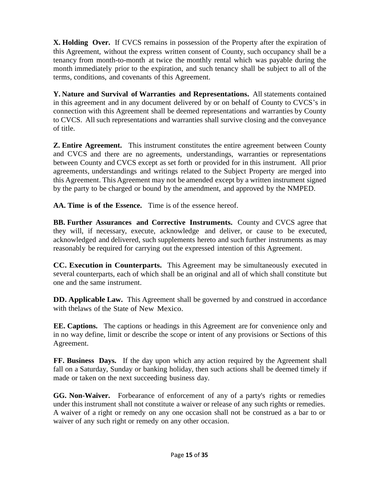**X. Holding Over.** If CVCS remains in possession of the Property after the expiration of this Agreement, without the express written consent of County, such occupancy shall be a tenancy from month-to-month at twice the monthly rental which was payable during the month immediately prior to the expiration, and such tenancy shall be subject to all of the terms, conditions, and covenants of this Agreement.

**Y. Nature and Survival of Warranties and Representations.** All statements contained in this agreement and in any document delivered by or on behalf of County to CVCS's in connection with this Agreement shall be deemed representations and warranties by County to CVCS. All such representations and warranties shall survive closing and the conveyance of title.

**Z. Entire Agreement.** This instrument constitutes the entire agreement between County and CVCS and there are no agreements, understandings, warranties or representations between County and CVCS except as set forth or provided for in this instrument. All prior agreements, understandings and writings related to the Subject Property are merged into this Agreement. This Agreement may not be amended except by a written instrument signed by the party to be charged or bound by the amendment, and approved by the NMPED.

**AA. Time is of the Essence.** Time is of the essence hereof.

**BB. Further Assurances and Corrective Instruments.** County and CVCS agree that they will, if necessary, execute, acknowledge and deliver, or cause to be executed, acknowledged and delivered, such supplements hereto and such further instruments as may reasonably be required for carrying out the expressed intention of this Agreement.

**CC. Execution in Counterparts.** This Agreement may be simultaneously executed in several counterparts, each of which shall be an original and all of which shall constitute but one and the same instrument.

**DD. Applicable Law.** This Agreement shall be governed by and construed in accordance with thelaws of the State of New Mexico.

**EE. Captions.** The captions or headings in this Agreement are for convenience only and in no way define, limit or describe the scope or intent of any provisions or Sections of this Agreement.

**FF. Business Days.** If the day upon which any action required by the Agreement shall fall on a Saturday, Sunday or banking holiday, then such actions shall be deemed timely if made or taken on the next succeeding business day.

**GG. Non-Waiver.** Forbearance of enforcement of any of a party's rights or remedies under this instrument shall not constitute a waiver or release of any such rights or remedies. A waiver of a right or remedy on any one occasion shall not be construed as a bar to or waiver of any such right or remedy on any other occasion.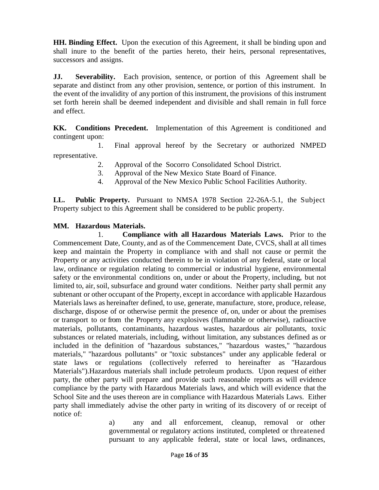**HH. Binding Effect.** Upon the execution of this Agreement, it shall be binding upon and shall inure to the benefit of the parties hereto, their heirs, personal representatives, successors and assigns.

**JJ. Severability.** Each provision, sentence, or portion of this Agreement shall be separate and distinct from any other provision, sentence, or portion of this instrument. In the event of the invalidity of any portion of this instrument, the provisions of this instrument set forth herein shall be deemed independent and divisible and shall remain in full force and effect.

**KK. Conditions Precedent.** Implementation of this Agreement is conditioned and contingent upon:

1. Final approval hereof by the Secretary or authorized NMPED representative.

- 2. Approval of the Socorro Consolidated School District.
- 3. Approval of the New Mexico State Board of Finance.
- 4. Approval of the New Mexico Public School Facilities Authority.

**LL. Public Property.** Pursuant to NMSA 1978 Section 22-26A-5.1, the Subject Property subject to this Agreement shall be considered to be public property.

#### **MM. Hazardous Materials.**

1. **Compliance with all Hazardous Materials Laws.** Prior to the Commencement Date, County, and as of the Commencement Date, CVCS, shall at all times keep and maintain the Property in compliance with and shall not cause or permit the Property or any activities conducted therein to be in violation of any federal, state or local law, ordinance or regulation relating to commercial or industrial hygiene, environmental safety or the environmental conditions on, under or about the Property, including, but not limited to, air, soil, subsurface and ground water conditions. Neither party shall permit any subtenant or other occupant of the Property, except in accordance with applicable Hazardous Materials laws as hereinafter defined, to use, generate, manufacture, store, produce, release, discharge, dispose of or otherwise permit the presence of, on, under or about the premises or transport to or from the Property any explosives (flammable or otherwise), radioactive materials, pollutants, contaminants, hazardous wastes, hazardous air pollutants, toxic substances or related materials, including, without limitation, any substances defined as or included in the definition of "hazardous substances," "hazardous wastes," "hazardous materials," "hazardous pollutants" or "toxic substances" under any applicable federal or state laws or regulations (collectively referred to hereinafter as "Hazardous Materials").Hazardous materials shall include petroleum products. Upon request of either party, the other party will prepare and provide such reasonable reports as will evidence compliance by the party with Hazardous Materials laws, and which will evidence that the School Site and the uses thereon are in compliance with Hazardous Materials Laws. Either party shall immediately advise the other party in writing of its discovery of or receipt of notice of:

> a) any and all enforcement, cleanup, removal or other governmental or regulatory actions instituted, completed or threatened pursuant to any applicable federal, state or local laws, ordinances,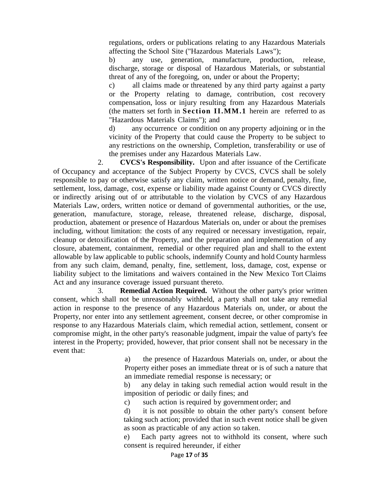regulations, orders or publications relating to any Hazardous Materials affecting the School Site ("Hazardous Materials Laws");

b) any use, generation, manufacture, production, release, discharge, storage or disposal of Hazardous Materials, or substantial threat of any of the foregoing, on, under or about the Property;

c) all claims made or threatened by any third party against a party or the Property relating to damage, contribution, cost recovery compensation, loss or injury resulting from any Hazardous Materials (the matters set forth in **Section II.MM.1** herein are referred to as "Hazardous Materials Claims"); and

d) any occurrence or condition on any property adjoining or in the vicinity of the Property that could cause the Property to be subject to any restrictions on the ownership, Completion, transferability or use of the premises under any Hazardous Materials Law.

2. **CVCS's Responsibility.** Upon and after issuance of the Certificate of Occupancy and acceptance of the Subject Property by CVCS, CVCS shall be solely responsible to pay or otherwise satisfy any claim, written notice or demand, penalty, fine, settlement, loss, damage, cost, expense or liability made against County or CVCS directly or indirectly arising out of or attributable to the violation by CVCS of any Hazardous Materials Law, orders, written notice or demand of governmental authorities, or the use, generation, manufacture, storage, release, threatened release, discharge, disposal, production, abatement or presence of Hazardous Materials on, under or about the premises including, without limitation: the costs of any required or necessary investigation, repair, cleanup or detoxification of the Property, and the preparation and implementation of any closure, abatement, containment, remedial or other required plan and shall to the extent allowable by law applicable to public schools, indemnify County and hold County harmless from any such claim, demand, penalty, fine, settlement, loss, damage, cost, expense or liability subject to the limitations and waivers contained in the New Mexico Tort Claims Act and any insurance coverage issued pursuant thereto.

3. **Remedial Action Required.** Without the other party's prior written consent, which shall not be unreasonably withheld, a party shall not take any remedial action in response to the presence of any Hazardous Materials on, under, or about the Property, nor enter into any settlement agreement, consent decree, or other compromise in response to any Hazardous Materials claim, which remedial action, settlement, consent or compromise might, in the other party's reasonable judgment, impair the value of party's fee interest in the Property; provided, however, that prior consent shall not be necessary in the event that:

> a) the presence of Hazardous Materials on, under, or about the Property either poses an immediate threat or is of such a nature that an immediate remedial response is necessary; or

> b) any delay in taking such remedial action would result in the imposition of periodic or daily fines; and

c) such action is required by government order; and

d) it is not possible to obtain the other party's consent before taking such action; provided that in such event notice shall be given as soon as practicable of any action so taken.

e) Each party agrees not to withhold its consent, where such consent is required hereunder, if either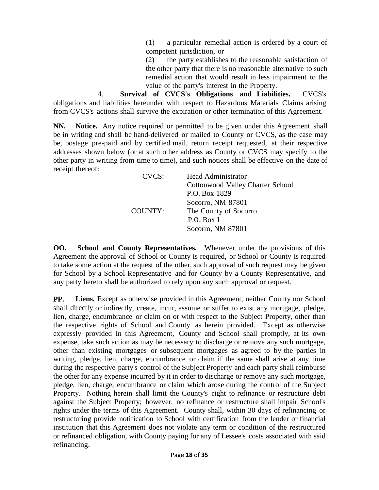(1) a particular remedial action is ordered by a court of competent jurisdiction, or

(2) the party establishes to the reasonable satisfaction of the other party that there is no reasonable alternative to such remedial action that would result in less impairment to the value of the party's interest in the Property.

4. **Survival of CVCS's Obligations and Liabilities.** CVCS's obligations and liabilities hereunder with respect to Hazardous Materials Claims arising from CVCS's actions shall survive the expiration or other termination of this Agreement.

**NN. Notice.** Any notice required or permitted to be given under this Agreement shall be in writing and shall be hand-delivered or mailed to County or CVCS, as the case may be, postage pre-paid and by certified mail, return receipt requested, at their respective addresses shown below (or at such other address as County or CVCS may specify to the other party in writing from time to time), and such notices shall be effective on the date of receipt thereof:

|  | CVCS:   | <b>Head Administrator</b>        |
|--|---------|----------------------------------|
|  |         | Cottonwood Valley Charter School |
|  |         | P.O. Box 1829                    |
|  |         | Socorro, NM 87801                |
|  | COUNTY: | The County of Socorro            |
|  |         | P.O. Box I                       |
|  |         | Socorro, NM 87801                |
|  |         |                                  |

**OO. School and County Representatives.** Whenever under the provisions of this Agreement the approval of School or County is required, or School or County is required to take some action at the request of the other, such approval of such request may be given for School by a School Representative and for County by a County Representative, and any party hereto shall be authorized to rely upon any such approval or request.

**PP. Liens.** Except as otherwise provided in this Agreement, neither County nor School shall directly or indirectly, create, incur, assume or suffer to exist any mortgage, pledge, lien, charge, encumbrance or claim on or with respect to the Subject Property, other than the respective rights of School and County as herein provided. Except as otherwise expressly provided in this Agreement, County and School shall promptly, at its own expense, take such action as may be necessary to discharge or remove any such mortgage, other than existing mortgages or subsequent mortgages as agreed to by the parties in writing, pledge, lien, charge, encumbrance or claim if the same shall arise at any time during the respective party's control of the Subject Property and each party shall reimburse the other for any expense incurred by it in order to discharge or remove any such mortgage, pledge, lien, charge, encumbrance or claim which arose during the control of the Subject Property. Nothing herein shall limit the County's right to refinance or restructure debt against the Subject Property; however, no refinance or restructure shall impair School's rights under the terms of this Agreement. County shall, within 30 days of refinancing or restructuring provide notification to School with certification from the lender or financial institution that this Agreement does not violate any term or condition of the restructured or refinanced obligation, with County paying for any of Lessee's costs associated with said refinancing.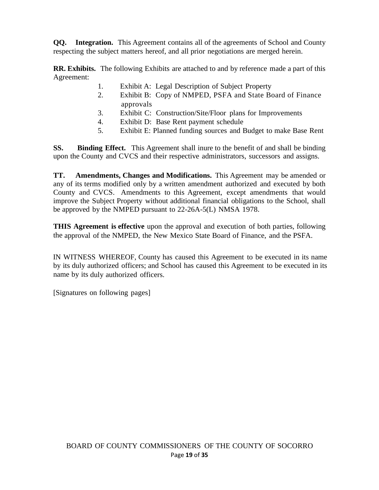**QQ. Integration.** This Agreement contains all of the agreements of School and County respecting the subject matters hereof, and all prior negotiations are merged herein.

**RR. Exhibits.** The following Exhibits are attached to and by reference made a part of this Agreement:

- 1. Exhibit A: Legal Description of Subject Property
- 2. Exhibit B: Copy of NMPED, PSFA and State Board of Finance approvals
- 3. Exhibit C: Construction/Site/Floor plans for Improvements
- 4. Exhibit D: Base Rent payment schedule
- 5. Exhibit E: Planned funding sources and Budget to make Base Rent

**SS. Binding Effect.** This Agreement shall inure to the benefit of and shall be binding upon the County and CVCS and their respective administrators, successors and assigns.

**TT. Amendments, Changes and Modifications.** This Agreement may be amended or any of its terms modified only by a written amendment authorized and executed by both County and CVCS. Amendments to this Agreement, except amendments that would improve the Subject Property without additional financial obligations to the School, shall be approved by the NMPED pursuant to 22-26A-5(L) NMSA 1978.

**THIS Agreement is effective** upon the approval and execution of both parties, following the approval of the NMPED, the New Mexico State Board of Finance, and the PSFA.

IN WITNESS WHEREOF, County has caused this Agreement to be executed in its name by its duly authorized officers; and School has caused this Agreement to be executed in its name by its duly authorized officers.

[Signatures on following pages]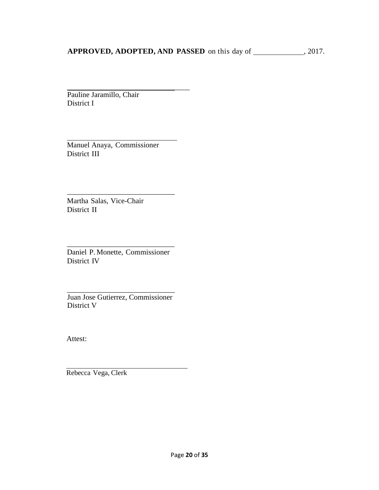# APPROVED, ADOPTED, AND PASSED on this day of \_\_\_\_\_\_\_\_\_\_\_, 2017.

\_\_\_\_\_\_\_\_\_\_\_\_\_\_\_\_\_\_\_\_\_\_\_\_\_\_\_\_\_\_\_\_\_ Pauline Jaramillo, Chair District I

Manuel Anaya, Commissioner District III

Martha Salas, Vice-Chair District II

Daniel P. Monette, Commissioner District IV

\_\_\_\_\_\_\_\_\_\_\_\_\_\_\_\_\_\_\_\_\_\_\_\_\_\_\_\_\_

\_\_\_\_\_\_\_\_\_\_\_\_\_\_\_\_\_\_\_\_\_\_\_\_\_\_\_\_\_

\_\_\_\_\_\_\_\_\_\_\_\_\_\_\_\_\_\_\_\_\_\_\_\_\_\_\_\_\_ Juan Jose Gutierrez, Commissioner District V

Attest:

Rebecca Vega, Clerk